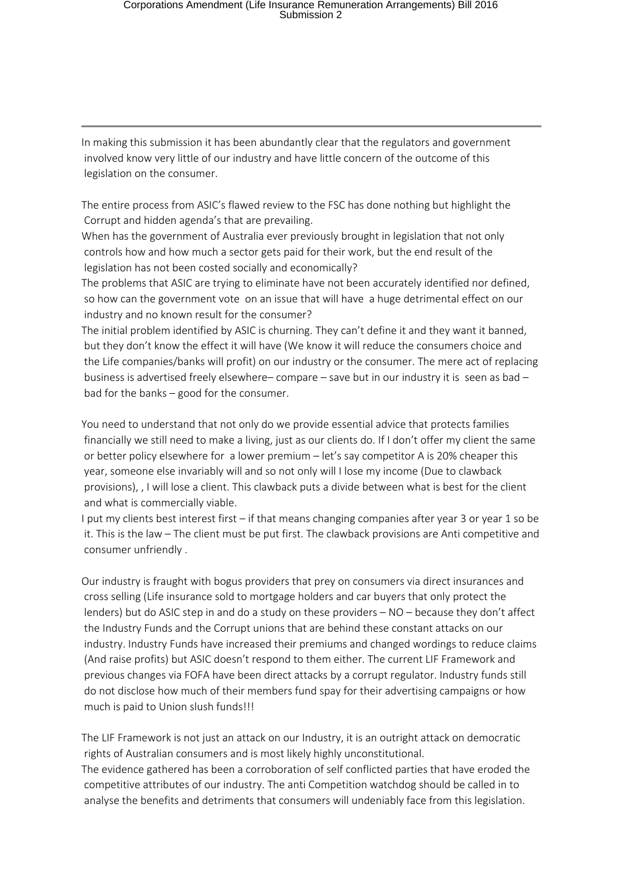In making this submission it has been abundantly clear that the regulators and government involved know very little of our industry and have little concern of the outcome of this legislation on the consumer.

The entire process from ASIC's flawed review to the FSC has done nothing but highlight the Corrupt and hidden agenda's that are prevailing.

When has the government of Australia ever previously brought in legislation that not only controls how and how much a sector gets paid for their work, but the end result of the legislation has not been costed socially and economically?

The problems that ASIC are trying to eliminate have not been accurately identified nor defined, so how can the government vote on an issue that will have a huge detrimental effect on our industry and no known result for the consumer?

The initial problem identified by ASIC is churning. They can't define it and they want it banned, but they don't know the effect it will have (We know it will reduce the consumers choice and the Life companies/banks will profit) on our industry or the consumer. The mere act of replacing business is advertised freely elsewhere– compare – save but in our industry it is seen as bad – bad for the banks – good for the consumer.

You need to understand that not only do we provide essential advice that protects families financially we still need to make a living, just as our clients do. If I don't offer my client the same or better policy elsewhere for a lower premium – let's say competitor A is 20% cheaper this year, someone else invariably will and so not only will I lose my income (Due to clawback provisions), , I will lose a client. This clawback puts a divide between what is best for the client and what is commercially viable.

I put my clients best interest first – if that means changing companies after year 3 or year 1 so be it. This is the law – The client must be put first. The clawback provisions are Anti competitive and consumer unfriendly .

Our industry is fraught with bogus providers that prey on consumers via direct insurances and cross selling (Life insurance sold to mortgage holders and car buyers that only protect the lenders) but do ASIC step in and do a study on these providers – NO – because they don't affect the Industry Funds and the Corrupt unions that are behind these constant attacks on our industry. Industry Funds have increased their premiums and changed wordings to reduce claims (And raise profits) but ASIC doesn't respond to them either. The current LIF Framework and previous changes via FOFA have been direct attacks by a corrupt regulator. Industry funds still do not disclose how much of their members fund spay for their advertising campaigns or how much is paid to Union slush funds!!!

The LIF Framework is not just an attack on our Industry, it is an outright attack on democratic rights of Australian consumers and is most likely highly unconstitutional. The evidence gathered has been a corroboration of self conflicted parties that have eroded the competitive attributes of our industry. The anti Competition watchdog should be called in to analyse the benefits and detriments that consumers will undeniably face from this legislation.